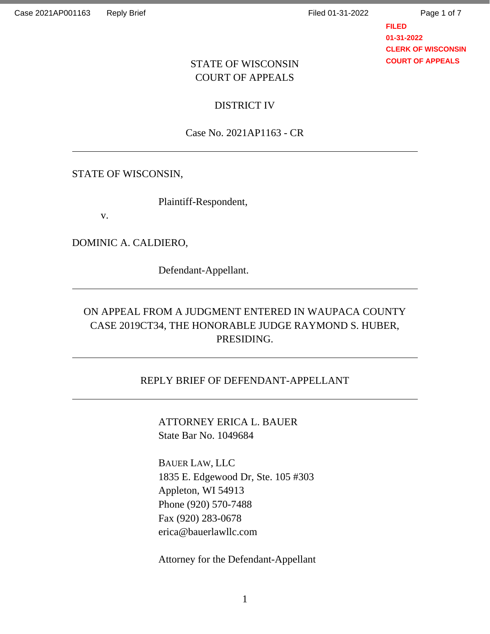Page 1 of 7

**FILED 01-31-2022 CLERK OF WISCONSIN COURT OF APPEALS**

### STATE OF WISCONSIN COURT OF APPEALS

DISTRICT IV

Case No. 2021AP1163 - CR

STATE OF WISCONSIN,

Plaintiff-Respondent,

v.

DOMINIC A. CALDIERO,

Defendant-Appellant.

# ON APPEAL FROM A JUDGMENT ENTERED IN WAUPACA COUNTY CASE 2019CT34, THE HONORABLE JUDGE RAYMOND S. HUBER, PRESIDING.

### REPLY BRIEF OF DEFENDANT-APPELLANT

ATTORNEY ERICA L. BAUER State Bar No. 1049684

BAUER LAW, LLC 1835 E. Edgewood Dr, Ste. 105 #303 Appleton, WI 54913 Phone (920) 570-7488 Fax (920) 283-0678 erica@bauerlawllc.com

Attorney for the Defendant-Appellant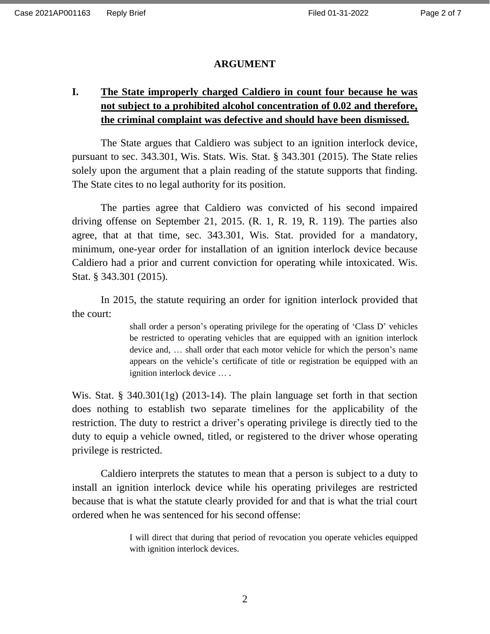#### **ARGUMENT**

## **I. The State improperly charged Caldiero in count four because he was not subject to a prohibited alcohol concentration of 0.02 and therefore, the criminal complaint was defective and should have been dismissed.**

The State argues that Caldiero was subject to an ignition interlock device, pursuant to sec. 343.301, Wis. Stats. Wis. Stat. § 343.301 (2015). The State relies solely upon the argument that a plain reading of the statute supports that finding. The State cites to no legal authority for its position.

The parties agree that Caldiero was convicted of his second impaired driving offense on September 21, 2015. (R. 1, R. 19, R. 119). The parties also agree, that at that time, sec. 343.301, Wis. Stat. provided for a mandatory, minimum, one-year order for installation of an ignition interlock device because Caldiero had a prior and current conviction for operating while intoxicated. Wis. Stat. § 343.301 (2015).

In 2015, the statute requiring an order for ignition interlock provided that the court:

> shall order a person's operating privilege for the operating of 'Class D' vehicles be restricted to operating vehicles that are equipped with an ignition interlock device and, … shall order that each motor vehicle for which the person's name appears on the vehicle's certificate of title or registration be equipped with an ignition interlock device … .

Wis. Stat. § 340.301(1g) (2013-14). The plain language set forth in that section does nothing to establish two separate timelines for the applicability of the restriction. The duty to restrict a driver's operating privilege is directly tied to the duty to equip a vehicle owned, titled, or registered to the driver whose operating privilege is restricted.

Caldiero interprets the statutes to mean that a person is subject to a duty to install an ignition interlock device while his operating privileges are restricted because that is what the statute clearly provided for and that is what the trial court ordered when he was sentenced for his second offense:

> I will direct that during that period of revocation you operate vehicles equipped with ignition interlock devices.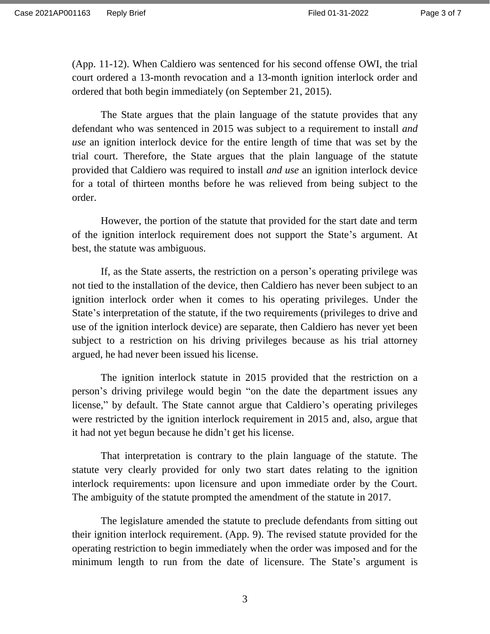(App. 11-12). When Caldiero was sentenced for his second offense OWI, the trial court ordered a 13-month revocation and a 13-month ignition interlock order and ordered that both begin immediately (on September 21, 2015).

The State argues that the plain language of the statute provides that any defendant who was sentenced in 2015 was subject to a requirement to install *and use* an ignition interlock device for the entire length of time that was set by the trial court. Therefore, the State argues that the plain language of the statute provided that Caldiero was required to install *and use* an ignition interlock device for a total of thirteen months before he was relieved from being subject to the order.

However, the portion of the statute that provided for the start date and term of the ignition interlock requirement does not support the State's argument. At best, the statute was ambiguous.

If, as the State asserts, the restriction on a person's operating privilege was not tied to the installation of the device, then Caldiero has never been subject to an ignition interlock order when it comes to his operating privileges. Under the State's interpretation of the statute, if the two requirements (privileges to drive and use of the ignition interlock device) are separate, then Caldiero has never yet been subject to a restriction on his driving privileges because as his trial attorney argued, he had never been issued his license.

The ignition interlock statute in 2015 provided that the restriction on a person's driving privilege would begin "on the date the department issues any license," by default. The State cannot argue that Caldiero's operating privileges were restricted by the ignition interlock requirement in 2015 and, also, argue that it had not yet begun because he didn't get his license.

That interpretation is contrary to the plain language of the statute. The statute very clearly provided for only two start dates relating to the ignition interlock requirements: upon licensure and upon immediate order by the Court. The ambiguity of the statute prompted the amendment of the statute in 2017.

The legislature amended the statute to preclude defendants from sitting out their ignition interlock requirement. (App. 9). The revised statute provided for the operating restriction to begin immediately when the order was imposed and for the minimum length to run from the date of licensure. The State's argument is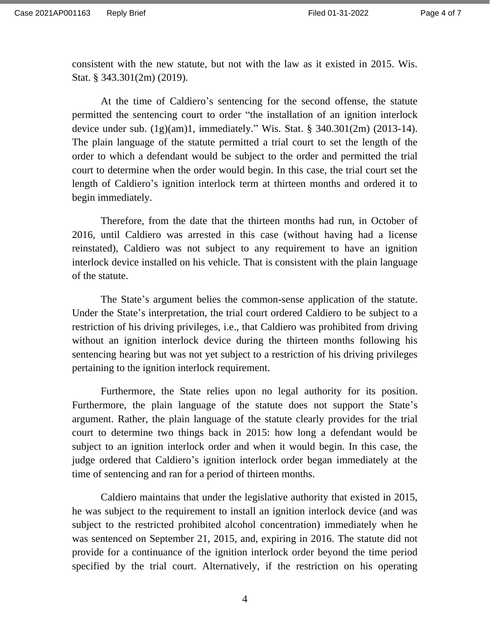consistent with the new statute, but not with the law as it existed in 2015. Wis. Stat. § 343.301(2m) (2019).

At the time of Caldiero's sentencing for the second offense, the statute permitted the sentencing court to order "the installation of an ignition interlock device under sub. (1g)(am)1, immediately." Wis. Stat. § 340.301(2m) (2013-14). The plain language of the statute permitted a trial court to set the length of the order to which a defendant would be subject to the order and permitted the trial court to determine when the order would begin. In this case, the trial court set the length of Caldiero's ignition interlock term at thirteen months and ordered it to begin immediately.

Therefore, from the date that the thirteen months had run, in October of 2016, until Caldiero was arrested in this case (without having had a license reinstated), Caldiero was not subject to any requirement to have an ignition interlock device installed on his vehicle. That is consistent with the plain language of the statute.

The State's argument belies the common-sense application of the statute. Under the State's interpretation, the trial court ordered Caldiero to be subject to a restriction of his driving privileges, i.e., that Caldiero was prohibited from driving without an ignition interlock device during the thirteen months following his sentencing hearing but was not yet subject to a restriction of his driving privileges pertaining to the ignition interlock requirement.

Furthermore, the State relies upon no legal authority for its position. Furthermore, the plain language of the statute does not support the State's argument. Rather, the plain language of the statute clearly provides for the trial court to determine two things back in 2015: how long a defendant would be subject to an ignition interlock order and when it would begin. In this case, the judge ordered that Caldiero's ignition interlock order began immediately at the time of sentencing and ran for a period of thirteen months.

Caldiero maintains that under the legislative authority that existed in 2015, he was subject to the requirement to install an ignition interlock device (and was subject to the restricted prohibited alcohol concentration) immediately when he was sentenced on September 21, 2015, and, expiring in 2016. The statute did not provide for a continuance of the ignition interlock order beyond the time period specified by the trial court. Alternatively, if the restriction on his operating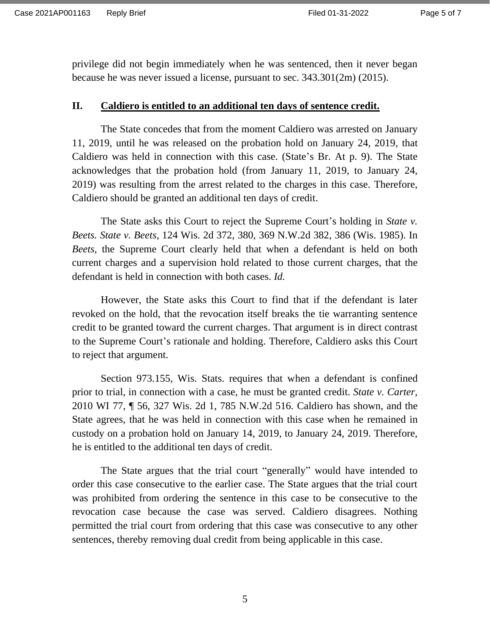privilege did not begin immediately when he was sentenced, then it never began because he was never issued a license, pursuant to sec. 343.301(2m) (2015).

#### **II. Caldiero is entitled to an additional ten days of sentence credit.**

The State concedes that from the moment Caldiero was arrested on January 11, 2019, until he was released on the probation hold on January 24, 2019, that Caldiero was held in connection with this case. (State's Br. At p. 9). The State acknowledges that the probation hold (from January 11, 2019, to January 24, 2019) was resulting from the arrest related to the charges in this case. Therefore, Caldiero should be granted an additional ten days of credit.

The State asks this Court to reject the Supreme Court's holding in *State v. Beets. State v. Beets,* 124 Wis. 2d 372, 380, 369 N.W.2d 382, 386 (Wis. 1985). In *Beets,* the Supreme Court clearly held that when a defendant is held on both current charges and a supervision hold related to those current charges, that the defendant is held in connection with both cases. *Id.*

However, the State asks this Court to find that if the defendant is later revoked on the hold, that the revocation itself breaks the tie warranting sentence credit to be granted toward the current charges. That argument is in direct contrast to the Supreme Court's rationale and holding. Therefore, Caldiero asks this Court to reject that argument.

Section 973.155, Wis. Stats. requires that when a defendant is confined prior to trial, in connection with a case, he must be granted credit. *State v. Carter,*  2010 WI 77, ¶ 56, 327 Wis. 2d 1, 785 N.W.2d 516. Caldiero has shown, and the State agrees, that he was held in connection with this case when he remained in custody on a probation hold on January 14, 2019, to January 24, 2019. Therefore, he is entitled to the additional ten days of credit.

The State argues that the trial court "generally" would have intended to order this case consecutive to the earlier case. The State argues that the trial court was prohibited from ordering the sentence in this case to be consecutive to the revocation case because the case was served. Caldiero disagrees. Nothing permitted the trial court from ordering that this case was consecutive to any other sentences, thereby removing dual credit from being applicable in this case.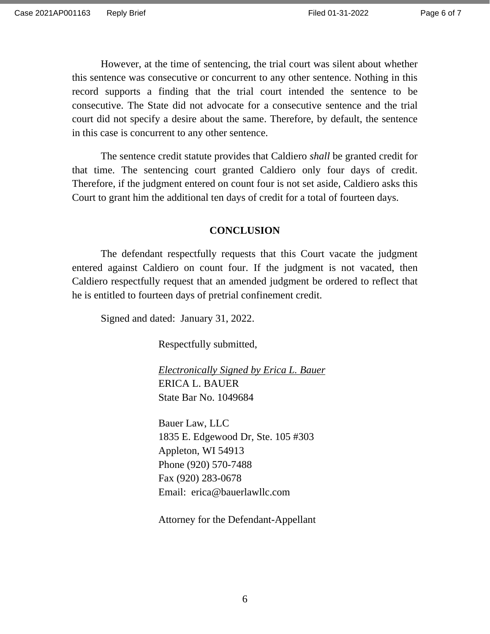However, at the time of sentencing, the trial court was silent about whether this sentence was consecutive or concurrent to any other sentence. Nothing in this record supports a finding that the trial court intended the sentence to be consecutive. The State did not advocate for a consecutive sentence and the trial court did not specify a desire about the same. Therefore, by default, the sentence in this case is concurrent to any other sentence.

The sentence credit statute provides that Caldiero *shall* be granted credit for that time. The sentencing court granted Caldiero only four days of credit. Therefore, if the judgment entered on count four is not set aside, Caldiero asks this Court to grant him the additional ten days of credit for a total of fourteen days.

#### **CONCLUSION**

The defendant respectfully requests that this Court vacate the judgment entered against Caldiero on count four. If the judgment is not vacated, then Caldiero respectfully request that an amended judgment be ordered to reflect that he is entitled to fourteen days of pretrial confinement credit.

Signed and dated: January 31, 2022.

Respectfully submitted,

*Electronically Signed by Erica L. Bauer* ERICA L. BAUER State Bar No. 1049684

Bauer Law, LLC 1835 E. Edgewood Dr, Ste. 105 #303 Appleton, WI 54913 Phone (920) 570-7488 Fax (920) 283-0678 Email: erica@bauerlawllc.com

Attorney for the Defendant-Appellant